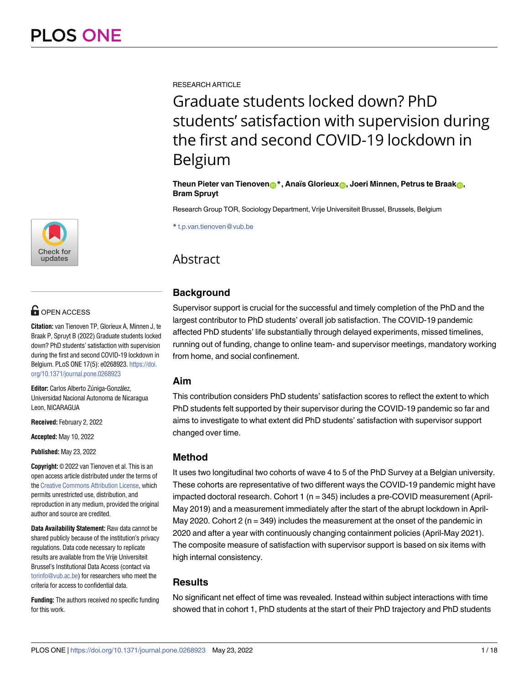RESEARCH ARTICLE

Graduate students locked down? PhD students' satisfaction with supervision during the first and second COVID-19 lockdown in Belgium

**Theun Pieter van Tienoven**<sup>\*</sup>, Anaïs Glorieux<sub><sup>0</sub></sup>, Joeri Minnen, Petrus te Braak<sub>0</sub>,</sub> **Bram Spruyt**

Research Group TOR, Sociology Department, Vrije Universiteit Brussel, Brussels, Belgium

\* t.p.van.tienoven@vub.be

# **Abstract**

# **Background**

Supervisor support is crucial for the successful and timely completion of the PhD and the largest contributor to PhD students' overall job satisfaction. The COVID-19 pandemic affected PhD students' life substantially through delayed experiments, missed timelines, running out of funding, change to online team- and supervisor meetings, mandatory working from home, and social confinement.

## **Aim**

This contribution considers PhD students' satisfaction scores to reflect the extent to which PhD students felt supported by their supervisor during the COVID-19 pandemic so far and aims to investigate to what extent did PhD students' satisfaction with supervisor support changed over time.

## **Method**

It uses two longitudinal two cohorts of wave 4 to 5 of the PhD Survey at a Belgian university. These cohorts are representative of two different ways the COVID-19 pandemic might have impacted doctoral research. Cohort 1 (n = 345) includes a pre-COVID measurement (April-May 2019) and a measurement immediately after the start of the abrupt lockdown in April-May 2020. Cohort 2 ( $n = 349$ ) includes the measurement at the onset of the pandemic in 2020 and after a year with continuously changing containment policies (April-May 2021). The composite measure of satisfaction with supervisor support is based on six items with high internal consistency.

## **Results**

No significant net effect of time was revealed. Instead within subject interactions with time showed that in cohort 1, PhD students at the start of their PhD trajectory and PhD students



# **OPEN ACCESS**

**Citation:** van Tienoven TP, Glorieux A, Minnen J, te Braak P, Spruyt B (2022) Graduate students locked down? PhD students' satisfaction with supervision during the first and second COVID-19 lockdown in Belgium. PLoS ONE 17(5): e0268923. [https://doi.](https://doi.org/10.1371/journal.pone.0268923) [org/10.1371/journal.pone.0268923](https://doi.org/10.1371/journal.pone.0268923)

Editor: Carlos Alberto Zúniga-González, Universidad Nacional Autonoma de Nicaragua Leon, NICARAGUA

**Received:** February 2, 2022

**Accepted:** May 10, 2022

**Published:** May 23, 2022

**Copyright:** © 2022 van Tienoven et al. This is an open access article distributed under the terms of the Creative [Commons](http://creativecommons.org/licenses/by/4.0/) Attribution License, which permits unrestricted use, distribution, and reproduction in any medium, provided the original author and source are credited.

**Data Availability Statement:** Raw data cannot be shared publicly because of the institution's privacy regulations. Data code necessary to replicate results are available from the Vrije Universiteit Brussel's Institutional Data Access (contact via [torinfo@vub.ac.be](mailto:torinfo@vub.ac.be)) for researchers who meet the criteria for access to confidential data.

**Funding:** The authors received no specific funding for this work.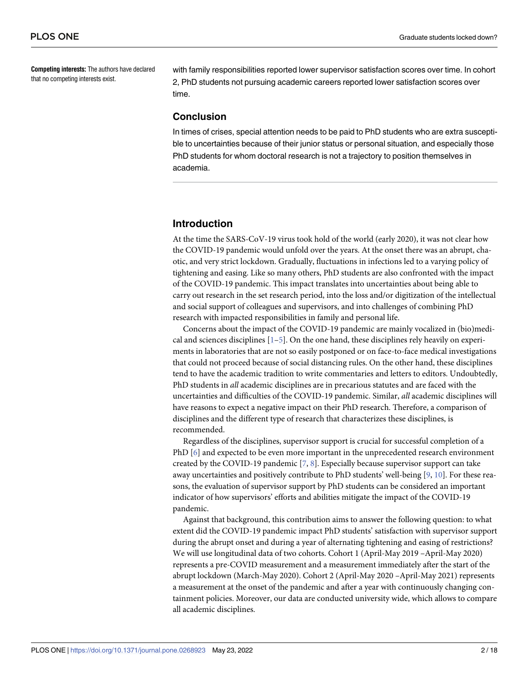<span id="page-1-0"></span>**Competing interests:** The authors have declared that no competing interests exist.

with family responsibilities reported lower supervisor satisfaction scores over time. In cohort 2, PhD students not pursuing academic careers reported lower satisfaction scores over time.

## **Conclusion**

In times of crises, special attention needs to be paid to PhD students who are extra susceptible to uncertainties because of their junior status or personal situation, and especially those PhD students for whom doctoral research is not a trajectory to position themselves in academia.

## **Introduction**

At the time the SARS-CoV-19 virus took hold of the world (early 2020), it was not clear how the COVID-19 pandemic would unfold over the years. At the onset there was an abrupt, chaotic, and very strict lockdown. Gradually, fluctuations in infections led to a varying policy of tightening and easing. Like so many others, PhD students are also confronted with the impact of the COVID-19 pandemic. This impact translates into uncertainties about being able to carry out research in the set research period, into the loss and/or digitization of the intellectual and social support of colleagues and supervisors, and into challenges of combining PhD research with impacted responsibilities in family and personal life.

Concerns about the impact of the COVID-19 pandemic are mainly vocalized in (bio)medical and sciences disciplines  $[1-5]$ . On the one hand, these disciplines rely heavily on experiments in laboratories that are not so easily postponed or on face-to-face medical investigations that could not proceed because of social distancing rules. On the other hand, these disciplines tend to have the academic tradition to write commentaries and letters to editors. Undoubtedly, PhD students in *all* academic disciplines are in precarious statutes and are faced with the uncertainties and difficulties of the COVID-19 pandemic. Similar, *all* academic disciplines will have reasons to expect a negative impact on their PhD research. Therefore, a comparison of disciplines and the different type of research that characterizes these disciplines, is recommended.

Regardless of the disciplines, supervisor support is crucial for successful completion of a PhD [[6\]](#page-16-0) and expected to be even more important in the unprecedented research environment created by the COVID-19 pandemic  $[7, 8]$  $[7, 8]$  $[7, 8]$  $[7, 8]$ . Especially because supervisor support can take away uncertainties and positively contribute to PhD students' well-being [[9](#page-16-0), [10](#page-16-0)]. For these reasons, the evaluation of supervisor support by PhD students can be considered an important indicator of how supervisors' efforts and abilities mitigate the impact of the COVID-19 pandemic.

Against that background, this contribution aims to answer the following question: to what extent did the COVID-19 pandemic impact PhD students' satisfaction with supervisor support during the abrupt onset and during a year of alternating tightening and easing of restrictions? We will use longitudinal data of two cohorts. Cohort 1 (April-May 2019 –April-May 2020) represents a pre-COVID measurement and a measurement immediately after the start of the abrupt lockdown (March-May 2020). Cohort 2 (April-May 2020 –April-May 2021) represents a measurement at the onset of the pandemic and after a year with continuously changing containment policies. Moreover, our data are conducted university wide, which allows to compare all academic disciplines.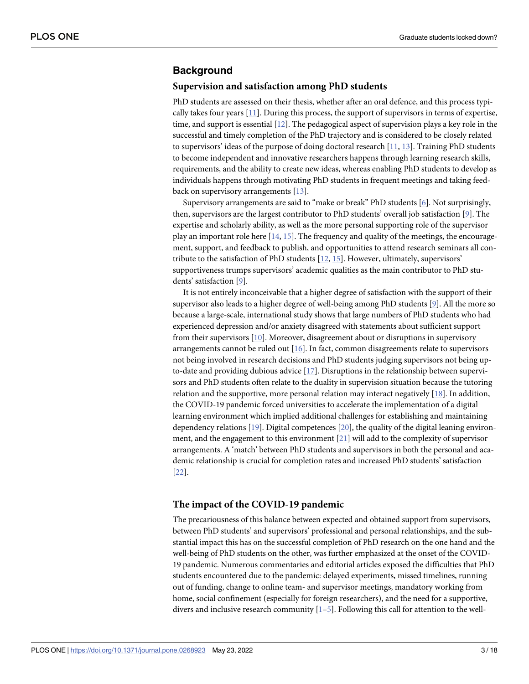## <span id="page-2-0"></span>**Background**

#### **Supervision and satisfaction among PhD students**

PhD students are assessed on their thesis, whether after an oral defence, and this process typically takes four years [[11](#page-16-0)]. During this process, the support of supervisors in terms of expertise, time, and support is essential [[12](#page-16-0)]. The pedagogical aspect of supervision plays a key role in the successful and timely completion of the PhD trajectory and is considered to be closely related to supervisors' ideas of the purpose of doing doctoral research [\[11,](#page-16-0) [13\]](#page-16-0). Training PhD students to become independent and innovative researchers happens through learning research skills, requirements, and the ability to create new ideas, whereas enabling PhD students to develop as individuals happens through motivating PhD students in frequent meetings and taking feedback on supervisory arrangements [[13](#page-16-0)].

Supervisory arrangements are said to "make or break" PhD students [\[6](#page-16-0)]. Not surprisingly, then, supervisors are the largest contributor to PhD students' overall job satisfaction [[9](#page-16-0)]. The expertise and scholarly ability, as well as the more personal supporting role of the supervisor play an important role here  $[14, 15]$  $[14, 15]$  $[14, 15]$  $[14, 15]$  $[14, 15]$ . The frequency and quality of the meetings, the encouragement, support, and feedback to publish, and opportunities to attend research seminars all contribute to the satisfaction of PhD students [[12](#page-16-0), [15](#page-16-0)]. However, ultimately, supervisors' supportiveness trumps supervisors' academic qualities as the main contributor to PhD students' satisfaction [\[9](#page-16-0)].

It is not entirely inconceivable that a higher degree of satisfaction with the support of their supervisor also leads to a higher degree of well-being among PhD students [\[9](#page-16-0)]. All the more so because a large-scale, international study shows that large numbers of PhD students who had experienced depression and/or anxiety disagreed with statements about sufficient support from their supervisors [[10](#page-16-0)]. Moreover, disagreement about or disruptions in supervisory arrangements cannot be ruled out [[16](#page-16-0)]. In fact, common disagreements relate to supervisors not being involved in research decisions and PhD students judging supervisors not being upto-date and providing dubious advice [[17](#page-16-0)]. Disruptions in the relationship between supervisors and PhD students often relate to the duality in supervision situation because the tutoring relation and the supportive, more personal relation may interact negatively [[18](#page-16-0)]. In addition, the COVID-19 pandemic forced universities to accelerate the implementation of a digital learning environment which implied additional challenges for establishing and maintaining dependency relations [[19](#page-16-0)]. Digital competences [[20](#page-16-0)], the quality of the digital leaning environment, and the engagement to this environment [[21](#page-16-0)] will add to the complexity of supervisor arrangements. A 'match' between PhD students and supervisors in both the personal and academic relationship is crucial for completion rates and increased PhD students' satisfaction [\[22\]](#page-16-0).

### **The impact of the COVID-19 pandemic**

The precariousness of this balance between expected and obtained support from supervisors, between PhD students' and supervisors' professional and personal relationships, and the substantial impact this has on the successful completion of PhD research on the one hand and the well-being of PhD students on the other, was further emphasized at the onset of the COVID-19 pandemic. Numerous commentaries and editorial articles exposed the difficulties that PhD students encountered due to the pandemic: delayed experiments, missed timelines, running out of funding, change to online team- and supervisor meetings, mandatory working from home, social confinement (especially for foreign researchers), and the need for a supportive, divers and inclusive research community  $[1-5]$ . Following this call for attention to the well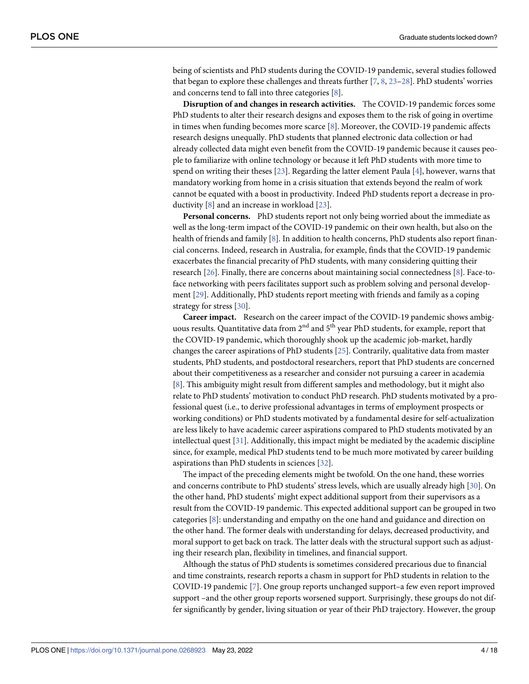<span id="page-3-0"></span>being of scientists and PhD students during the COVID-19 pandemic, several studies followed that began to explore these challenges and threats further [[7,](#page-16-0) [8,](#page-16-0) [23–28](#page-17-0)]. PhD students' worries and concerns tend to fall into three categories [[8\]](#page-16-0).

**Disruption of and changes in research activities.** The COVID-19 pandemic forces some PhD students to alter their research designs and exposes them to the risk of going in overtime in times when funding becomes more scarce  $[8]$  $[8]$ . Moreover, the COVID-19 pandemic affects research designs unequally. PhD students that planned electronic data collection or had already collected data might even benefit from the COVID-19 pandemic because it causes people to familiarize with online technology or because it left PhD students with more time to spend on writing their theses [[23](#page-17-0)]. Regarding the latter element Paula [[4](#page-16-0)], however, warns that mandatory working from home in a crisis situation that extends beyond the realm of work cannot be equated with a boost in productivity. Indeed PhD students report a decrease in productivity [[8\]](#page-16-0) and an increase in workload [[23](#page-17-0)].

**Personal concerns.** PhD students report not only being worried about the immediate as well as the long-term impact of the COVID-19 pandemic on their own health, but also on the health of friends and family [\[8](#page-16-0)]. In addition to health concerns, PhD students also report financial concerns. Indeed, research in Australia, for example, finds that the COVID-19 pandemic exacerbates the financial precarity of PhD students, with many considering quitting their research [[26](#page-17-0)]. Finally, there are concerns about maintaining social connectedness [[8\]](#page-16-0). Face-toface networking with peers facilitates support such as problem solving and personal development [\[29\]](#page-17-0). Additionally, PhD students report meeting with friends and family as a coping strategy for stress [[30\]](#page-17-0).

**Career impact.** Research on the career impact of the COVID-19 pandemic shows ambiguous results. Quantitative data from  $2<sup>nd</sup>$  and  $5<sup>th</sup>$  year PhD students, for example, report that the COVID-19 pandemic, which thoroughly shook up the academic job-market, hardly changes the career aspirations of PhD students [[25](#page-17-0)]. Contrarily, qualitative data from master students, PhD students, and postdoctoral researchers, report that PhD students are concerned about their competitiveness as a researcher and consider not pursuing a career in academia [\[8](#page-16-0)]. This ambiguity might result from different samples and methodology, but it might also relate to PhD students' motivation to conduct PhD research. PhD students motivated by a professional quest (i.e., to derive professional advantages in terms of employment prospects or working conditions) or PhD students motivated by a fundamental desire for self-actualization are less likely to have academic career aspirations compared to PhD students motivated by an intellectual quest [[31](#page-17-0)]. Additionally, this impact might be mediated by the academic discipline since, for example, medical PhD students tend to be much more motivated by career building aspirations than PhD students in sciences [[32](#page-17-0)].

The impact of the preceding elements might be twofold. On the one hand, these worries and concerns contribute to PhD students' stress levels, which are usually already high [[30](#page-17-0)]. On the other hand, PhD students' might expect additional support from their supervisors as a result from the COVID-19 pandemic. This expected additional support can be grouped in two categories [\[8](#page-16-0)]: understanding and empathy on the one hand and guidance and direction on the other hand. The former deals with understanding for delays, decreased productivity, and moral support to get back on track. The latter deals with the structural support such as adjusting their research plan, flexibility in timelines, and financial support.

Although the status of PhD students is sometimes considered precarious due to financial and time constraints, research reports a chasm in support for PhD students in relation to the COVID-19 pandemic [\[7\]](#page-16-0). One group reports unchanged support–a few even report improved support –and the other group reports worsened support. Surprisingly, these groups do not differ significantly by gender, living situation or year of their PhD trajectory. However, the group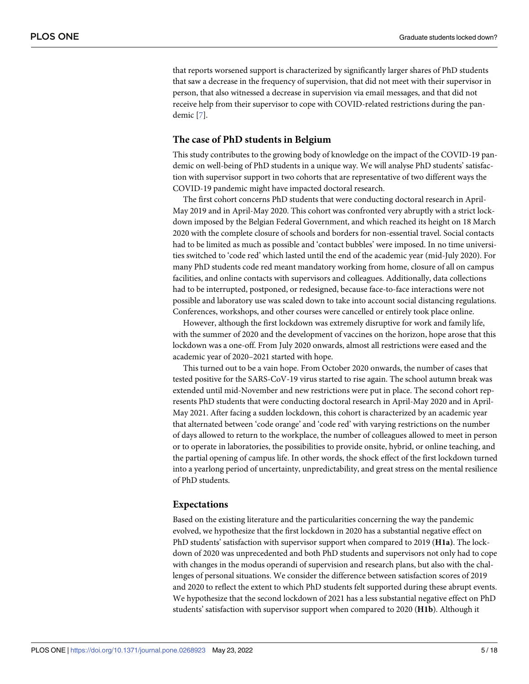that reports worsened support is characterized by significantly larger shares of PhD students that saw a decrease in the frequency of supervision, that did not meet with their supervisor in person, that also witnessed a decrease in supervision via email messages, and that did not receive help from their supervisor to cope with COVID-related restrictions during the pandemic [\[7\]](#page-16-0).

### **The case of PhD students in Belgium**

This study contributes to the growing body of knowledge on the impact of the COVID-19 pandemic on well-being of PhD students in a unique way. We will analyse PhD students' satisfaction with supervisor support in two cohorts that are representative of two different ways the COVID-19 pandemic might have impacted doctoral research.

The first cohort concerns PhD students that were conducting doctoral research in April-May 2019 and in April-May 2020. This cohort was confronted very abruptly with a strict lockdown imposed by the Belgian Federal Government, and which reached its height on 18 March 2020 with the complete closure of schools and borders for non-essential travel. Social contacts had to be limited as much as possible and 'contact bubbles' were imposed. In no time universities switched to 'code red' which lasted until the end of the academic year (mid-July 2020). For many PhD students code red meant mandatory working from home, closure of all on campus facilities, and online contacts with supervisors and colleagues. Additionally, data collections had to be interrupted, postponed, or redesigned, because face-to-face interactions were not possible and laboratory use was scaled down to take into account social distancing regulations. Conferences, workshops, and other courses were cancelled or entirely took place online.

However, although the first lockdown was extremely disruptive for work and family life, with the summer of 2020 and the development of vaccines on the horizon, hope arose that this lockdown was a one-off. From July 2020 onwards, almost all restrictions were eased and the academic year of 2020–2021 started with hope.

This turned out to be a vain hope. From October 2020 onwards, the number of cases that tested positive for the SARS-CoV-19 virus started to rise again. The school autumn break was extended until mid-November and new restrictions were put in place. The second cohort represents PhD students that were conducting doctoral research in April-May 2020 and in April-May 2021. After facing a sudden lockdown, this cohort is characterized by an academic year that alternated between 'code orange' and 'code red' with varying restrictions on the number of days allowed to return to the workplace, the number of colleagues allowed to meet in person or to operate in laboratories, the possibilities to provide onsite, hybrid, or online teaching, and the partial opening of campus life. In other words, the shock effect of the first lockdown turned into a yearlong period of uncertainty, unpredictability, and great stress on the mental resilience of PhD students.

#### **Expectations**

Based on the existing literature and the particularities concerning the way the pandemic evolved, we hypothesize that the first lockdown in 2020 has a substantial negative effect on PhD students' satisfaction with supervisor support when compared to 2019 (**H1a)**. The lockdown of 2020 was unprecedented and both PhD students and supervisors not only had to cope with changes in the modus operandi of supervision and research plans, but also with the challenges of personal situations. We consider the difference between satisfaction scores of 2019 and 2020 to reflect the extent to which PhD students felt supported during these abrupt events. We hypothesize that the second lockdown of 2021 has a less substantial negative effect on PhD students' satisfaction with supervisor support when compared to 2020 (**H1b**). Although it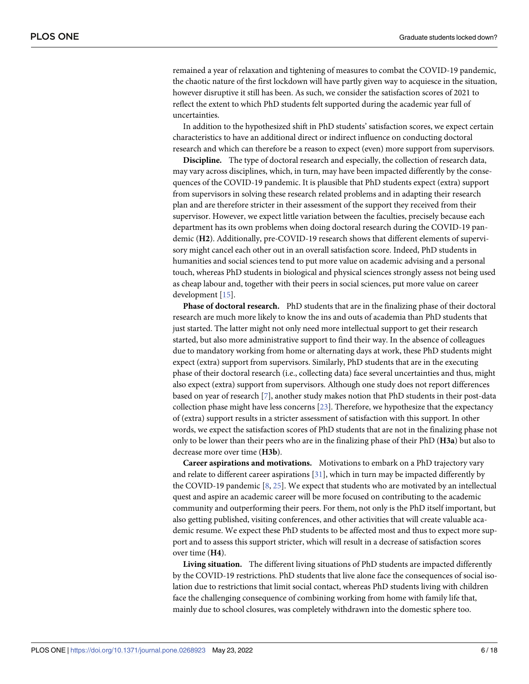<span id="page-5-0"></span>remained a year of relaxation and tightening of measures to combat the COVID-19 pandemic, the chaotic nature of the first lockdown will have partly given way to acquiesce in the situation, however disruptive it still has been. As such, we consider the satisfaction scores of 2021 to reflect the extent to which PhD students felt supported during the academic year full of uncertainties.

In addition to the hypothesized shift in PhD students' satisfaction scores, we expect certain characteristics to have an additional direct or indirect influence on conducting doctoral research and which can therefore be a reason to expect (even) more support from supervisors.

**Discipline.** The type of doctoral research and especially, the collection of research data, may vary across disciplines, which, in turn, may have been impacted differently by the consequences of the COVID-19 pandemic. It is plausible that PhD students expect (extra) support from supervisors in solving these research related problems and in adapting their research plan and are therefore stricter in their assessment of the support they received from their supervisor. However, we expect little variation between the faculties, precisely because each department has its own problems when doing doctoral research during the COVID-19 pandemic (**H2**). Additionally, pre-COVID-19 research shows that different elements of supervisory might cancel each other out in an overall satisfaction score. Indeed, PhD students in humanities and social sciences tend to put more value on academic advising and a personal touch, whereas PhD students in biological and physical sciences strongly assess not being used as cheap labour and, together with their peers in social sciences, put more value on career development [\[15\]](#page-16-0).

**Phase of doctoral research.** PhD students that are in the finalizing phase of their doctoral research are much more likely to know the ins and outs of academia than PhD students that just started. The latter might not only need more intellectual support to get their research started, but also more administrative support to find their way. In the absence of colleagues due to mandatory working from home or alternating days at work, these PhD students might expect (extra) support from supervisors. Similarly, PhD students that are in the executing phase of their doctoral research (i.e., collecting data) face several uncertainties and thus, might also expect (extra) support from supervisors. Although one study does not report differences based on year of research [[7](#page-16-0)], another study makes notion that PhD students in their post-data collection phase might have less concerns [\[23\]](#page-17-0). Therefore, we hypothesize that the expectancy of (extra) support results in a stricter assessment of satisfaction with this support. In other words, we expect the satisfaction scores of PhD students that are not in the finalizing phase not only to be lower than their peers who are in the finalizing phase of their PhD (**H3a**) but also to decrease more over time (**H3b**).

**Career aspirations and motivations.** Motivations to embark on a PhD trajectory vary and relate to different career aspirations [\[31\]](#page-17-0), which in turn may be impacted differently by the COVID-19 pandemic [[8,](#page-16-0) [25\]](#page-17-0). We expect that students who are motivated by an intellectual quest and aspire an academic career will be more focused on contributing to the academic community and outperforming their peers. For them, not only is the PhD itself important, but also getting published, visiting conferences, and other activities that will create valuable academic resume. We expect these PhD students to be affected most and thus to expect more support and to assess this support stricter, which will result in a decrease of satisfaction scores over time (**H4**).

**Living situation.** The different living situations of PhD students are impacted differently by the COVID-19 restrictions. PhD students that live alone face the consequences of social isolation due to restrictions that limit social contact, whereas PhD students living with children face the challenging consequence of combining working from home with family life that, mainly due to school closures, was completely withdrawn into the domestic sphere too.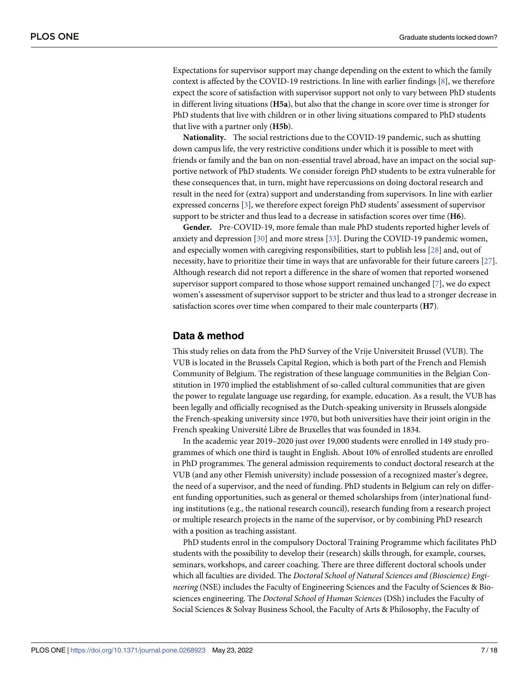<span id="page-6-0"></span>Expectations for supervisor support may change depending on the extent to which the family context is affected by the COVID-19 restrictions. In line with earlier findings [[8](#page-16-0)], we therefore expect the score of satisfaction with supervisor support not only to vary between PhD students in different living situations (**H5a**), but also that the change in score over time is stronger for PhD students that live with children or in other living situations compared to PhD students that live with a partner only (**H5b**).

**Nationality.** The social restrictions due to the COVID-19 pandemic, such as shutting down campus life, the very restrictive conditions under which it is possible to meet with friends or family and the ban on non-essential travel abroad, have an impact on the social supportive network of PhD students. We consider foreign PhD students to be extra vulnerable for these consequences that, in turn, might have repercussions on doing doctoral research and result in the need for (extra) support and understanding from supervisors. In line with earlier expressed concerns [[3](#page-16-0)], we therefore expect foreign PhD students' assessment of supervisor support to be stricter and thus lead to a decrease in satisfaction scores over time (**H6**).

**Gender.** Pre-COVID-19, more female than male PhD students reported higher levels of anxiety and depression [\[30\]](#page-17-0) and more stress [\[33\]](#page-17-0). During the COVID-19 pandemic women, and especially women with caregiving responsibilities, start to publish less [[28](#page-17-0)] and, out of necessity, have to prioritize their time in ways that are unfavorable for their future careers [\[27\]](#page-17-0). Although research did not report a difference in the share of women that reported worsened supervisor support compared to those whose support remained unchanged [[7](#page-16-0)], we do expect women's assessment of supervisor support to be stricter and thus lead to a stronger decrease in satisfaction scores over time when compared to their male counterparts (**H7**).

## **Data & method**

This study relies on data from the PhD Survey of the Vrije Universiteit Brussel (VUB). The VUB is located in the Brussels Capital Region, which is both part of the French and Flemish Community of Belgium. The registration of these language communities in the Belgian Constitution in 1970 implied the establishment of so-called cultural communities that are given the power to regulate language use regarding, for example, education. As a result, the VUB has been legally and officially recognised as the Dutch-speaking university in Brussels alongside the French-speaking university since 1970, but both universities have their joint origin in the French speaking Université Libre de Bruxelles that was founded in 1834.

In the academic year 2019–2020 just over 19,000 students were enrolled in 149 study programmes of which one third is taught in English. About 10% of enrolled students are enrolled in PhD programmes. The general admission requirements to conduct doctoral research at the VUB (and any other Flemish university) include possession of a recognized master's degree, the need of a supervisor, and the need of funding. PhD students in Belgium can rely on different funding opportunities, such as general or themed scholarships from (inter)national funding institutions (e.g., the national research council), research funding from a research project or multiple research projects in the name of the supervisor, or by combining PhD research with a position as teaching assistant.

PhD students enrol in the compulsory Doctoral Training Programme which facilitates PhD students with the possibility to develop their (research) skills through, for example, courses, seminars, workshops, and career coaching. There are three different doctoral schools under which all faculties are divided. The *Doctoral School of Natural Sciences and (Bioscience) Engineering* (NSE) includes the Faculty of Engineering Sciences and the Faculty of Sciences & Biosciences engineering. The *Doctoral School of Human Sciences* (DSh) includes the Faculty of Social Sciences & Solvay Business School, the Faculty of Arts & Philosophy, the Faculty of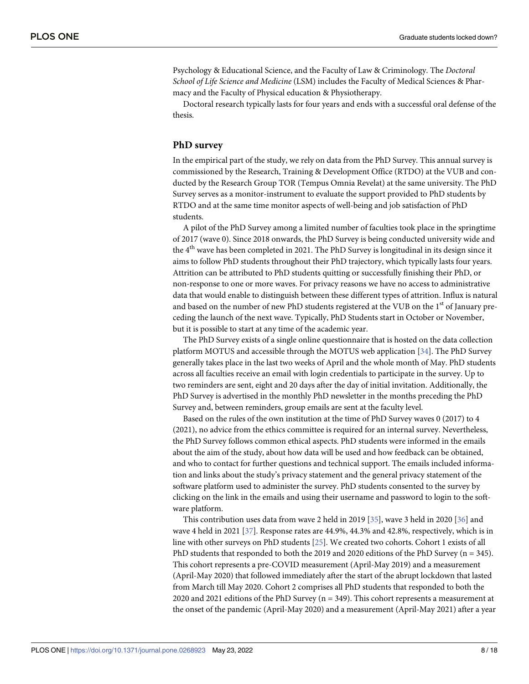<span id="page-7-0"></span>Psychology & Educational Science, and the Faculty of Law & Criminology. The *Doctoral School of Life Science and Medicine* (LSM) includes the Faculty of Medical Sciences & Pharmacy and the Faculty of Physical education & Physiotherapy.

Doctoral research typically lasts for four years and ends with a successful oral defense of the thesis.

#### **PhD survey**

In the empirical part of the study, we rely on data from the PhD Survey. This annual survey is commissioned by the Research, Training & Development Office (RTDO) at the VUB and conducted by the Research Group TOR (Tempus Omnia Revelat) at the same university. The PhD Survey serves as a monitor-instrument to evaluate the support provided to PhD students by RTDO and at the same time monitor aspects of well-being and job satisfaction of PhD students.

A pilot of the PhD Survey among a limited number of faculties took place in the springtime of 2017 (wave 0). Since 2018 onwards, the PhD Survey is being conducted university wide and the 4th wave has been completed in 2021. The PhD Survey is longitudinal in its design since it aims to follow PhD students throughout their PhD trajectory, which typically lasts four years. Attrition can be attributed to PhD students quitting or successfully finishing their PhD, or non-response to one or more waves. For privacy reasons we have no access to administrative data that would enable to distinguish between these different types of attrition. Influx is natural and based on the number of new PhD students registered at the VUB on the 1<sup>st</sup> of January preceding the launch of the next wave. Typically, PhD Students start in October or November, but it is possible to start at any time of the academic year.

The PhD Survey exists of a single online questionnaire that is hosted on the data collection platform MOTUS and accessible through the MOTUS web application [[34](#page-17-0)]. The PhD Survey generally takes place in the last two weeks of April and the whole month of May. PhD students across all faculties receive an email with login credentials to participate in the survey. Up to two reminders are sent, eight and 20 days after the day of initial invitation. Additionally, the PhD Survey is advertised in the monthly PhD newsletter in the months preceding the PhD Survey and, between reminders, group emails are sent at the faculty level.

Based on the rules of the own institution at the time of PhD Survey waves 0 (2017) to 4 (2021), no advice from the ethics committee is required for an internal survey. Nevertheless, the PhD Survey follows common ethical aspects. PhD students were informed in the emails about the aim of the study, about how data will be used and how feedback can be obtained, and who to contact for further questions and technical support. The emails included information and links about the study's privacy statement and the general privacy statement of the software platform used to administer the survey. PhD students consented to the survey by clicking on the link in the emails and using their username and password to login to the software platform.

This contribution uses data from wave 2 held in 2019 [\[35\]](#page-17-0), wave 3 held in 2020 [\[36\]](#page-17-0) and wave 4 held in 2021 [[37](#page-17-0)]. Response rates are 44.9%, 44.3% and 42.8%, respectively, which is in line with other surveys on PhD students [\[25\]](#page-17-0). We created two cohorts. Cohort 1 exists of all PhD students that responded to both the 2019 and 2020 editions of the PhD Survey ( $n = 345$ ). This cohort represents a pre-COVID measurement (April-May 2019) and a measurement (April-May 2020) that followed immediately after the start of the abrupt lockdown that lasted from March till May 2020. Cohort 2 comprises all PhD students that responded to both the 2020 and 2021 editions of the PhD Survey (n = 349). This cohort represents a measurement at the onset of the pandemic (April-May 2020) and a measurement (April-May 2021) after a year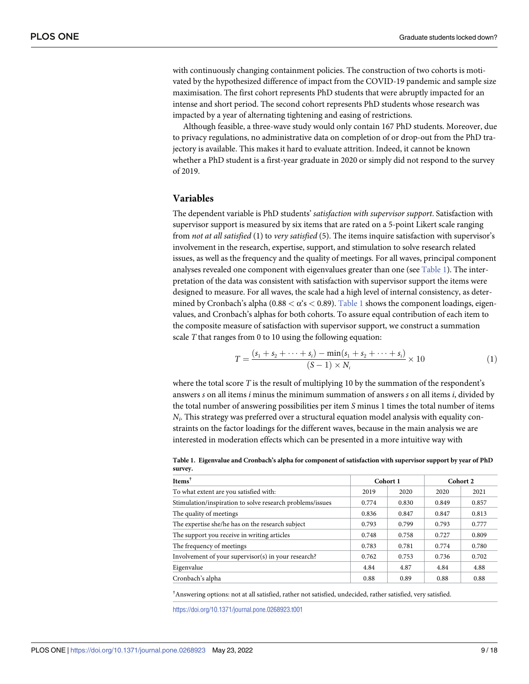with continuously changing containment policies. The construction of two cohorts is motivated by the hypothesized difference of impact from the COVID-19 pandemic and sample size maximisation. The first cohort represents PhD students that were abruptly impacted for an intense and short period. The second cohort represents PhD students whose research was impacted by a year of alternating tightening and easing of restrictions.

Although feasible, a three-wave study would only contain 167 PhD students. Moreover, due to privacy regulations, no administrative data on completion of or drop-out from the PhD trajectory is available. This makes it hard to evaluate attrition. Indeed, it cannot be known whether a PhD student is a first-year graduate in 2020 or simply did not respond to the survey of 2019.

#### **Variables**

The dependent variable is PhD students' *satisfaction with supervisor support*. Satisfaction with supervisor support is measured by six items that are rated on a 5-point Likert scale ranging from *not at all satisfied* (1) to *very satisfied* (5). The items inquire satisfaction with supervisor's involvement in the research, expertise, support, and stimulation to solve research related issues, as well as the frequency and the quality of meetings. For all waves, principal component analyses revealed one component with eigenvalues greater than one (see Table 1). The interpretation of the data was consistent with satisfaction with supervisor support the items were designed to measure. For all waves, the scale had a high level of internal consistency, as determined by Cronbach's alpha  $(0.88 < \alpha' s < 0.89)$ . Table 1 shows the component loadings, eigenvalues, and Cronbach's alphas for both cohorts. To assure equal contribution of each item to the composite measure of satisfaction with supervisor support, we construct a summation scale *T* that ranges from 0 to 10 using the following equation:

$$
T = \frac{(s_1 + s_2 + \dots + s_i) - \min(s_1 + s_2 + \dots + s_i)}{(S - 1) \times N_i} \times 10
$$
 (1)

where the total score *T* is the result of multiplying 10 by the summation of the respondent's answers *s* on all items *i* minus the minimum summation of answers *s* on all items *i*, divided by the total number of answering possibilities per item *S* minus 1 times the total number of items *Ni*. This strategy was preferred over a structural equation model analysis with equality constraints on the factor loadings for the different waves, because in the main analysis we are interested in moderation effects which can be presented in a more intuitive way with

| $Items^{\dagger}$                                         |       | Cohort 1 | Cohort 2 |       |  |
|-----------------------------------------------------------|-------|----------|----------|-------|--|
| To what extent are you satisfied with:                    | 2019  | 2020     | 2020     | 2021  |  |
| Stimulation/inspiration to solve research problems/issues | 0.774 | 0.830    | 0.849    | 0.857 |  |
| The quality of meetings                                   | 0.836 | 0.847    | 0.847    | 0.813 |  |
| The expertise she/he has on the research subject          | 0.793 | 0.799    | 0.793    | 0.777 |  |
| The support you receive in writing articles               | 0.748 | 0.758    | 0.727    | 0.809 |  |
| The frequency of meetings                                 | 0.783 | 0.781    | 0.774    | 0.780 |  |
| Involvement of your supervisor(s) in your research?       | 0.762 | 0.753    | 0.736    | 0.702 |  |
| Eigenvalue                                                | 4.84  | 4.87     | 4.84     | 4.88  |  |
| Cronbach's alpha                                          | 0.88  | 0.89     | 0.88     | 0.88  |  |

Table 1. Eigenvalue and Cronbach's alpha for component of satisfaction with supervisor support by year of PhD **survey.**

† Answering options: not at all satisfied, rather not satisfied, undecided, rather satisfied, very satisfied.

<https://doi.org/10.1371/journal.pone.0268923.t001>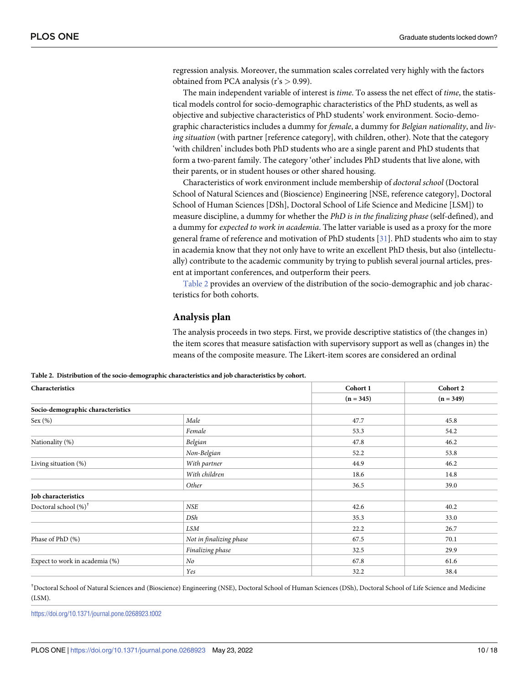<span id="page-9-0"></span>regression analysis. Moreover, the summation scales correlated very highly with the factors obtained from PCA analysis (r's *>* 0.99).

The main independent variable of interest is *time*. To assess the net effect of *time*, the statistical models control for socio-demographic characteristics of the PhD students, as well as objective and subjective characteristics of PhD students' work environment. Socio-demographic characteristics includes a dummy for *female*, a dummy for *Belgian nationality*, and *living situation* (with partner [reference category], with children, other). Note that the category 'with children' includes both PhD students who are a single parent and PhD students that form a two-parent family. The category 'other' includes PhD students that live alone, with their parents, or in student houses or other shared housing.

Characteristics of work environment include membership of *doctoral school* (Doctoral School of Natural Sciences and (Bioscience) Engineering [NSE, reference category], Doctoral School of Human Sciences [DSh], Doctoral School of Life Science and Medicine [LSM]) to measure discipline, a dummy for whether the *PhD is in the finalizing phase* (self-defined), and a dummy for *expected to work in academia*. The latter variable is used as a proxy for the more general frame of reference and motivation of PhD students [\[31\]](#page-17-0). PhD students who aim to stay in academia know that they not only have to write an excellent PhD thesis, but also (intellectually) contribute to the academic community by trying to publish several journal articles, present at important conferences, and outperform their peers.

Table 2 provides an overview of the distribution of the socio-demographic and job characteristics for both cohorts.

## **Analysis plan**

The analysis proceeds in two steps. First, we provide descriptive statistics of (the changes in) the item scores that measure satisfaction with supervisory support as well as (changes in) the means of the composite measure. The Likert-item scores are considered an ordinal

**Table 2. Distribution of the socio-demographic characteristics and job characteristics by cohort.**

| Characteristics                   |                         | Cohort 1    | Cohort 2    |  |
|-----------------------------------|-------------------------|-------------|-------------|--|
|                                   |                         | $(n = 345)$ | $(n = 349)$ |  |
| Socio-demographic characteristics |                         |             |             |  |
| Sex $(\%)$                        | Male                    | 47.7        | 45.8        |  |
|                                   | Female                  | 53.3        | 54.2        |  |
| Nationality (%)                   | Belgian                 | 47.8        | 46.2        |  |
|                                   | Non-Belgian             | 52.2        | 53.8        |  |
| Living situation (%)              | With partner            | 44.9        | 46.2        |  |
|                                   | With children           | 18.6        | 14.8        |  |
|                                   | Other                   | 36.5        | 39.0        |  |
| Job characteristics               |                         |             |             |  |
| Doctoral school (%) <sup>†</sup>  | <b>NSE</b>              | 42.6        | 40.2        |  |
|                                   | DSh                     | 35.3        | 33.0        |  |
|                                   | <b>LSM</b>              | 22.2        | 26.7        |  |
| Phase of PhD (%)                  | Not in finalizing phase | 67.5        | 70.1        |  |
|                                   | Finalizing phase        | 32.5        | 29.9        |  |
| Expect to work in academia (%)    | No                      | 67.8        | 61.6        |  |
|                                   | Yes                     | 32.2        | 38.4        |  |

† Doctoral School of Natural Sciences and (Bioscience) Engineering (NSE), Doctoral School of Human Sciences (DSh), Doctoral School of Life Science and Medicine  $(ISM)$ .

<https://doi.org/10.1371/journal.pone.0268923.t002>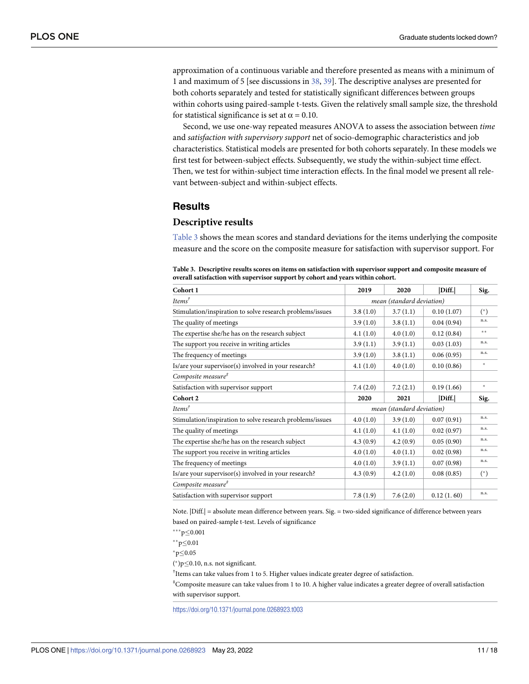<span id="page-10-0"></span>approximation of a continuous variable and therefore presented as means with a minimum of 1 and maximum of 5 [see discussions in [38,](#page-17-0) [39\]](#page-17-0). The descriptive analyses are presented for both cohorts separately and tested for statistically significant differences between groups within cohorts using paired-sample t-tests. Given the relatively small sample size, the threshold for statistical significance is set at  $\alpha = 0.10$ .

Second, we use one-way repeated measures ANOVA to assess the association between *time* and *satisfaction with supervisory support* net of socio-demographic characteristics and job characteristics. Statistical models are presented for both cohorts separately. In these models we first test for between-subject effects. Subsequently, we study the within-subject time effect. Then, we test for within-subject time interaction effects. In the final model we present all relevant between-subject and within-subject effects.

## **Results**

#### **Descriptive results**

Table 3 shows the mean scores and standard deviations for the items underlying the composite measure and the score on the composite measure for satisfaction with supervisor support. For

| Cohort 1                                                  | 2019                      | 2020                      | Diff.      | Sig.   |
|-----------------------------------------------------------|---------------------------|---------------------------|------------|--------|
| $Items^{\dagger}$                                         | mean (standard deviation) |                           |            |        |
| Stimulation/inspiration to solve research problems/issues | 3.8(1.0)                  | 3.7(1.1)                  | 0.10(1.07) | $(*)$  |
| The quality of meetings                                   | 3.9(1.0)                  | 3.8(1.1)                  | 0.04(0.94) | n.s.   |
| The expertise she/he has on the research subject          | 4.1(1.0)                  | 4.0(1.0)                  | 0.12(0.84) | $* *$  |
| The support you receive in writing articles               | 3.9(1.1)                  | 3.9(1.1)                  | 0.03(1.03) | n.s.   |
| The frequency of meetings                                 | 3.9(1.0)                  | 3.8(1.1)                  | 0.06(0.95) | n.s.   |
| Is/are your supervisor(s) involved in your research?      | 4.1(1.0)                  | 4.0(1.0)                  | 0.10(0.86) | $\ast$ |
| Composite measure <sup>#</sup>                            |                           |                           |            |        |
| Satisfaction with supervisor support                      | 7.4(2.0)                  | 7.2(2.1)                  | 0.19(1.66) | $\ast$ |
| Cohort 2                                                  | 2020                      | 2021                      | Diff.      | Sig.   |
|                                                           |                           |                           |            |        |
| Items <sup>†</sup>                                        |                           | mean (standard deviation) |            |        |
| Stimulation/inspiration to solve research problems/issues | 4.0(1.0)                  | 3.9(1.0)                  | 0.07(0.91) | n.s.   |
| The quality of meetings                                   | 4.1(1.0)                  | 4.1(1.0)                  | 0.02(0.97) | n.s.   |
| The expertise she/he has on the research subject          | 4.3(0.9)                  | 4.2(0.9)                  | 0.05(0.90) | n.s.   |
| The support you receive in writing articles               | 4.0(1.0)                  | 4.0(1.1)                  | 0.02(0.98) | n.s.   |
| The frequency of meetings                                 | 4.0(1.0)                  | 3.9(1.1)                  | 0.07(0.98) | n.s.   |
| Is/are your supervisor(s) involved in your research?      | 4.3(0.9)                  | 4.2(1.0)                  | 0.08(0.85) | $(*)$  |
| Composite measure <sup>#</sup>                            |                           |                           |            |        |

**Table 3. Descriptive results scores on items on satisfaction with supervisor support and composite measure of overall satisfaction with supervisor support by cohort and years within cohort.**

Note. |Diff.| = absolute mean difference between years. Sig. = two-sided significance of difference between years based on paired-sample t-test. Levels of significance

 $***p\leq0.001$ 

\*\* $p \le 0.01$ 

 $^*p \le 0.05$ 

 $(*)p \leq 0.10$ , n.s. not significant.

<sup>†</sup>Items can take values from 1 to 5. Higher values indicate greater degree of satisfaction.

‡ Composite measure can take values from 1 to 10. A higher value indicates a greater degree of overall satisfaction with supervisor support.

<https://doi.org/10.1371/journal.pone.0268923.t003>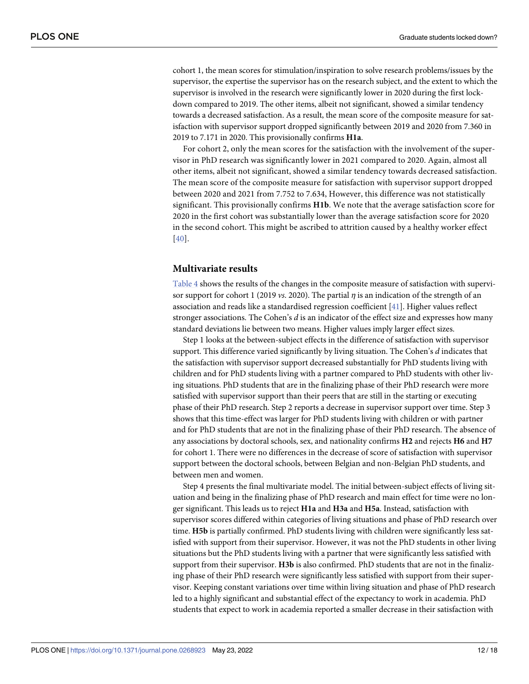<span id="page-11-0"></span>cohort 1, the mean scores for stimulation/inspiration to solve research problems/issues by the supervisor, the expertise the supervisor has on the research subject, and the extent to which the supervisor is involved in the research were significantly lower in 2020 during the first lockdown compared to 2019. The other items, albeit not significant, showed a similar tendency towards a decreased satisfaction. As a result, the mean score of the composite measure for satisfaction with supervisor support dropped significantly between 2019 and 2020 from 7.360 in 2019 to 7.171 in 2020. This provisionally confirms **H1a**.

For cohort 2, only the mean scores for the satisfaction with the involvement of the supervisor in PhD research was significantly lower in 2021 compared to 2020. Again, almost all other items, albeit not significant, showed a similar tendency towards decreased satisfaction. The mean score of the composite measure for satisfaction with supervisor support dropped between 2020 and 2021 from 7.752 to 7.634, However, this difference was not statistically significant. This provisionally confirms **H1b**. We note that the average satisfaction score for 2020 in the first cohort was substantially lower than the average satisfaction score for 2020 in the second cohort. This might be ascribed to attrition caused by a healthy worker effect [[40](#page-17-0)].

## **Multivariate results**

[Table](#page-12-0) 4 shows the results of the changes in the composite measure of satisfaction with supervisor support for cohort 1 (2019 *vs*. 2020). The partial *η* is an indication of the strength of an association and reads like a standardised regression coefficient [\[41\]](#page-17-0). Higher values reflect stronger associations. The Cohen's *d* is an indicator of the effect size and expresses how many standard deviations lie between two means. Higher values imply larger effect sizes.

Step 1 looks at the between-subject effects in the difference of satisfaction with supervisor support. This difference varied significantly by living situation. The Cohen's *d* indicates that the satisfaction with supervisor support decreased substantially for PhD students living with children and for PhD students living with a partner compared to PhD students with other living situations. PhD students that are in the finalizing phase of their PhD research were more satisfied with supervisor support than their peers that are still in the starting or executing phase of their PhD research. Step 2 reports a decrease in supervisor support over time. Step 3 shows that this time-effect was larger for PhD students living with children or with partner and for PhD students that are not in the finalizing phase of their PhD research. The absence of any associations by doctoral schools, sex, and nationality confirms **H2** and rejects **H6** and **H7** for cohort 1. There were no differences in the decrease of score of satisfaction with supervisor support between the doctoral schools, between Belgian and non-Belgian PhD students, and between men and women.

Step 4 presents the final multivariate model. The initial between-subject effects of living situation and being in the finalizing phase of PhD research and main effect for time were no longer significant. This leads us to reject **H1a** and **H3a** and **H5a**. Instead, satisfaction with supervisor scores differed within categories of living situations and phase of PhD research over time. **H5b** is partially confirmed. PhD students living with children were significantly less satisfied with support from their supervisor. However, it was not the PhD students in other living situations but the PhD students living with a partner that were significantly less satisfied with support from their supervisor. **H3b** is also confirmed. PhD students that are not in the finalizing phase of their PhD research were significantly less satisfied with support from their supervisor. Keeping constant variations over time within living situation and phase of PhD research led to a highly significant and substantial effect of the expectancy to work in academia. PhD students that expect to work in academia reported a smaller decrease in their satisfaction with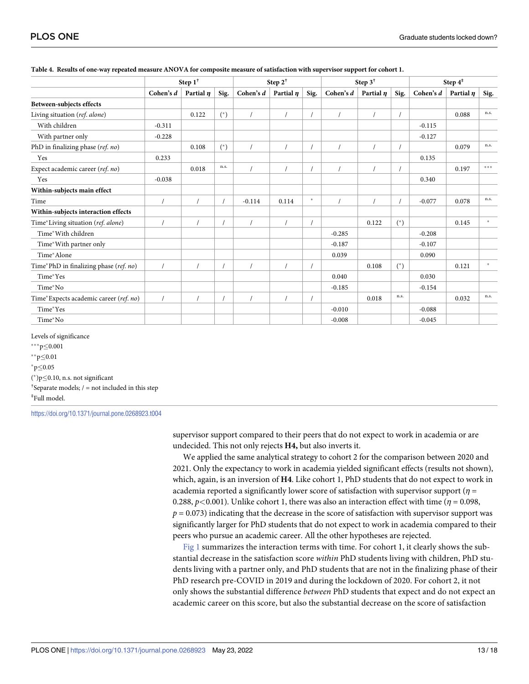|                                        | Step $1^{\dagger}$ |                | Step $2^{\dagger}$ |           | Step 3 <sup>†</sup> |        |           | Step $4^{\ddagger}$ |       |           |                |        |
|----------------------------------------|--------------------|----------------|--------------------|-----------|---------------------|--------|-----------|---------------------|-------|-----------|----------------|--------|
|                                        | Cohen's $d$        | Partial $\eta$ | Sig.               | Cohen's d | Partial $\eta$      | Sig.   | Cohen's d | Partial $\eta$      | Sig.  | Cohen's d | Partial $\eta$ | Sig.   |
| Between-subjects effects               |                    |                |                    |           |                     |        |           |                     |       |           |                |        |
| Living situation (ref. alone)          |                    | 0.122          | $(*)$              |           |                     |        |           |                     |       |           | 0.088          | n.s.   |
| With children                          | $-0.311$           |                |                    |           |                     |        |           |                     |       | $-0.115$  |                |        |
| With partner only                      | $-0.228$           |                |                    |           |                     |        |           |                     |       | $-0.127$  |                |        |
| PhD in finalizing phase (ref. no)      |                    | 0.108          | $(*)$              |           |                     |        |           |                     |       |           | 0.079          | n.s.   |
| Yes                                    | 0.233              |                |                    |           |                     |        |           |                     |       | 0.135     |                |        |
| Expect academic career (ref. no)       |                    | 0.018          | n.s.               |           |                     |        |           |                     |       |           | 0.197          | $***$  |
| Yes                                    | $-0.038$           |                |                    |           |                     |        |           |                     |       | 0.340     |                |        |
| Within-subjects main effect            |                    |                |                    |           |                     |        |           |                     |       |           |                |        |
| Time                                   |                    |                |                    | $-0.114$  | 0.114               | $\ast$ |           |                     |       | $-0.077$  | 0.078          | n.s.   |
| Within-subjects interaction effects    |                    |                |                    |           |                     |        |           |                     |       |           |                |        |
| Time*Living situation (ref. alone)     |                    |                |                    |           |                     |        |           | 0.122               | $(*)$ |           | 0.145          | $\ast$ |
| Time*With children                     |                    |                |                    |           |                     |        | $-0.285$  |                     |       | $-0.208$  |                |        |
| Time*With partner only                 |                    |                |                    |           |                     |        | $-0.187$  |                     |       | $-0.107$  |                |        |
| Time*Alone                             |                    |                |                    |           |                     |        | 0.039     |                     |       | 0.090     |                |        |
| Time*PhD in finalizing phase (ref. no) |                    |                |                    |           |                     |        |           | 0.108               | $(*)$ |           | 0.121          | $\ast$ |
| Time*Yes                               |                    |                |                    |           |                     |        | 0.040     |                     |       | 0.030     |                |        |
| Time*No                                |                    |                |                    |           |                     |        | $-0.185$  |                     |       | $-0.154$  |                |        |
| Time*Expects academic career (ref. no) |                    |                |                    |           |                     |        |           | 0.018               | n.s.  |           | 0.032          | n.s.   |
| Time*Yes                               |                    |                |                    |           |                     |        | $-0.010$  |                     |       | $-0.088$  |                |        |
| Time*No                                |                    |                |                    |           |                     |        | $-0.008$  |                     |       | $-0.045$  |                |        |

#### <span id="page-12-0"></span>[Table](#page-11-0) 4. Results of one-way repeated measure ANOVA for composite measure of satisfaction with supervisor support for cohort 1.

Levels of significance

 $***p\leq0.001$ 

\*\*p $\leq$ 0.01

 $^*p \le 0.05$ 

 $(*)p \leq 0.10$ , n.s. not significant

<sup>†</sup>Separate models;  $/ =$  not included in this step ‡ Full model.

<https://doi.org/10.1371/journal.pone.0268923.t004>

supervisor support compared to their peers that do not expect to work in academia or are undecided. This not only rejects **H4,** but also inverts it.

We applied the same analytical strategy to cohort 2 for the comparison between 2020 and 2021. Only the expectancy to work in academia yielded significant effects (results not shown), which, again, is an inversion of **H4**. Like cohort 1, PhD students that do not expect to work in academia reported a significantly lower score of satisfaction with supervisor support (*η* = 0.288,  $p$ <0.001). Unlike cohort 1, there was also an interaction effect with time ( $\eta$  = 0.098,  $p = 0.073$ ) indicating that the decrease in the score of satisfaction with supervisor support was significantly larger for PhD students that do not expect to work in academia compared to their peers who pursue an academic career. All the other hypotheses are rejected.

[Fig](#page-13-0) 1 summarizes the interaction terms with time. For cohort 1, it clearly shows the substantial decrease in the satisfaction score *within* PhD students living with children, PhD students living with a partner only, and PhD students that are not in the finalizing phase of their PhD research pre-COVID in 2019 and during the lockdown of 2020. For cohort 2, it not only shows the substantial difference *between* PhD students that expect and do not expect an academic career on this score, but also the substantial decrease on the score of satisfaction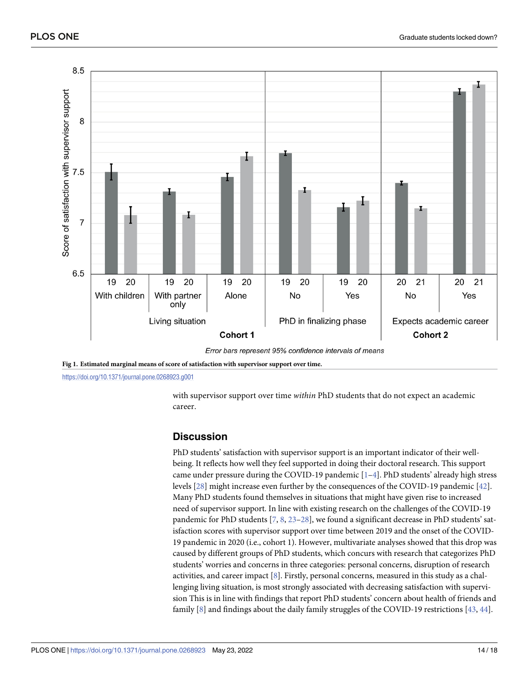<span id="page-13-0"></span>

Error bars represent 95% confidence intervals of means

**[Fig](#page-12-0) 1. Estimated marginal means of score of satisfaction with supervisor support over time.**

<https://doi.org/10.1371/journal.pone.0268923.g001>

with supervisor support over time *within* PhD students that do not expect an academic career.

## **Discussion**

PhD students' satisfaction with supervisor support is an important indicator of their wellbeing. It reflects how well they feel supported in doing their doctoral research. This support came under pressure during the COVID-19 pandemic  $[1-4]$ . PhD students' already high stress levels [\[28\]](#page-17-0) might increase even further by the consequences of the COVID-19 pandemic [[42\]](#page-17-0). Many PhD students found themselves in situations that might have given rise to increased need of supervisor support. In line with existing research on the challenges of the COVID-19 pandemic for PhD students [\[7,](#page-16-0) [8](#page-16-0), [23–28\]](#page-17-0), we found a significant decrease in PhD students' satisfaction scores with supervisor support over time between 2019 and the onset of the COVID-19 pandemic in 2020 (i.e., cohort 1). However, multivariate analyses showed that this drop was caused by different groups of PhD students, which concurs with research that categorizes PhD students' worries and concerns in three categories: personal concerns, disruption of research activities, and career impact [[8](#page-16-0)]. Firstly, personal concerns, measured in this study as a challenging living situation, is most strongly associated with decreasing satisfaction with supervision This is in line with findings that report PhD students' concern about health of friends and family [[8](#page-16-0)] and findings about the daily family struggles of the COVID-19 restrictions [[43](#page-17-0), [44](#page-17-0)].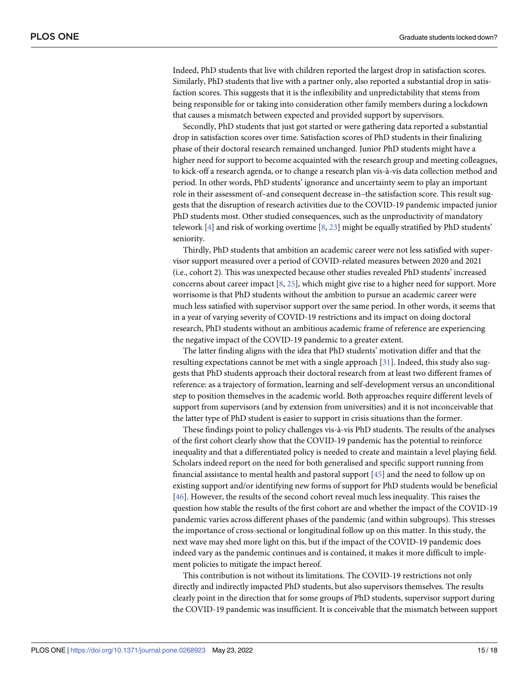<span id="page-14-0"></span>Indeed, PhD students that live with children reported the largest drop in satisfaction scores. Similarly, PhD students that live with a partner only, also reported a substantial drop in satisfaction scores. This suggests that it is the inflexibility and unpredictability that stems from being responsible for or taking into consideration other family members during a lockdown that causes a mismatch between expected and provided support by supervisors.

Secondly, PhD students that just got started or were gathering data reported a substantial drop in satisfaction scores over time. Satisfaction scores of PhD students in their finalizing phase of their doctoral research remained unchanged. Junior PhD students might have a higher need for support to become acquainted with the research group and meeting colleagues, to kick-off a research agenda, or to change a research plan vis-à-vis data collection method and period. In other words, PhD students' ignorance and uncertainty seem to play an important role in their assessment of–and consequent decrease in–the satisfaction score. This result suggests that the disruption of research activities due to the COVID-19 pandemic impacted junior PhD students most. Other studied consequences, such as the unproductivity of mandatory telework  $[4]$  and risk of working overtime  $[8, 23]$  $[8, 23]$  $[8, 23]$  $[8, 23]$  might be equally stratified by PhD students' seniority.

Thirdly, PhD students that ambition an academic career were not less satisfied with supervisor support measured over a period of COVID-related measures between 2020 and 2021 (i.e., cohort 2). This was unexpected because other studies revealed PhD students' increased concerns about career impact [\[8,](#page-16-0) [25\]](#page-17-0), which might give rise to a higher need for support. More worrisome is that PhD students without the ambition to pursue an academic career were much less satisfied with supervisor support over the same period. In other words, it seems that in a year of varying severity of COVID-19 restrictions and its impact on doing doctoral research, PhD students without an ambitious academic frame of reference are experiencing the negative impact of the COVID-19 pandemic to a greater extent.

The latter finding aligns with the idea that PhD students' motivation differ and that the resulting expectations cannot be met with a single approach [[31](#page-17-0)]. Indeed, this study also suggests that PhD students approach their doctoral research from at least two different frames of reference: as a trajectory of formation, learning and self-development versus an unconditional step to position themselves in the academic world. Both approaches require different levels of support from supervisors (and by extension from universities) and it is not inconceivable that the latter type of PhD student is easier to support in crisis situations than the former.

These findings point to policy challenges vis-à-vis PhD students. The results of the analyses of the first cohort clearly show that the COVID-19 pandemic has the potential to reinforce inequality and that a differentiated policy is needed to create and maintain a level playing field. Scholars indeed report on the need for both generalised and specific support running from financial assistance to mental health and pastoral support [[45](#page-17-0)] and the need to follow up on existing support and/or identifying new forms of support for PhD students would be beneficial [\[46\]](#page-17-0). However, the results of the second cohort reveal much less inequality. This raises the question how stable the results of the first cohort are and whether the impact of the COVID-19 pandemic varies across different phases of the pandemic (and within subgroups). This stresses the importance of cross-sectional or longitudinal follow up on this matter. In this study, the next wave may shed more light on this, but if the impact of the COVID-19 pandemic does indeed vary as the pandemic continues and is contained, it makes it more difficult to implement policies to mitigate the impact hereof.

This contribution is not without its limitations. The COVID-19 restrictions not only directly and indirectly impacted PhD students, but also supervisors themselves. The results clearly point in the direction that for some groups of PhD students, supervisor support during the COVID-19 pandemic was insufficient. It is conceivable that the mismatch between support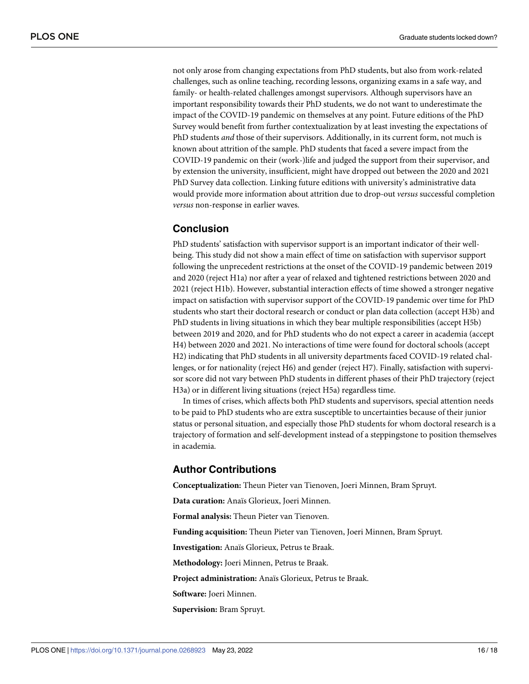not only arose from changing expectations from PhD students, but also from work-related challenges, such as online teaching, recording lessons, organizing exams in a safe way, and family- or health-related challenges amongst supervisors. Although supervisors have an important responsibility towards their PhD students, we do not want to underestimate the impact of the COVID-19 pandemic on themselves at any point. Future editions of the PhD Survey would benefit from further contextualization by at least investing the expectations of PhD students *and* those of their supervisors. Additionally, in its current form, not much is known about attrition of the sample. PhD students that faced a severe impact from the COVID-19 pandemic on their (work-)life and judged the support from their supervisor, and by extension the university, insufficient, might have dropped out between the 2020 and 2021 PhD Survey data collection. Linking future editions with university's administrative data would provide more information about attrition due to drop-out *versus* successful completion *versus* non-response in earlier waves.

## **Conclusion**

PhD students' satisfaction with supervisor support is an important indicator of their wellbeing. This study did not show a main effect of time on satisfaction with supervisor support following the unprecedent restrictions at the onset of the COVID-19 pandemic between 2019 and 2020 (reject H1a) nor after a year of relaxed and tightened restrictions between 2020 and 2021 (reject H1b). However, substantial interaction effects of time showed a stronger negative impact on satisfaction with supervisor support of the COVID-19 pandemic over time for PhD students who start their doctoral research or conduct or plan data collection (accept H3b) and PhD students in living situations in which they bear multiple responsibilities (accept H5b) between 2019 and 2020, and for PhD students who do not expect a career in academia (accept H4) between 2020 and 2021. No interactions of time were found for doctoral schools (accept H2) indicating that PhD students in all university departments faced COVID-19 related challenges, or for nationality (reject H6) and gender (reject H7). Finally, satisfaction with supervisor score did not vary between PhD students in different phases of their PhD trajectory (reject H3a) or in different living situations (reject H5a) regardless time.

In times of crises, which affects both PhD students and supervisors, special attention needs to be paid to PhD students who are extra susceptible to uncertainties because of their junior status or personal situation, and especially those PhD students for whom doctoral research is a trajectory of formation and self-development instead of a steppingstone to position themselves in academia.

## **Author Contributions**

**Conceptualization:** Theun Pieter van Tienoven, Joeri Minnen, Bram Spruyt.

**Data curation:** Anaïs Glorieux, Joeri Minnen.

**Formal analysis:** Theun Pieter van Tienoven.

**Funding acquisition:** Theun Pieter van Tienoven, Joeri Minnen, Bram Spruyt.

**Investigation:** Anaïs Glorieux, Petrus te Braak.

**Methodology:** Joeri Minnen, Petrus te Braak.

**Project administration:** Anaïs Glorieux, Petrus te Braak.

**Software:** Joeri Minnen.

**Supervision:** Bram Spruyt.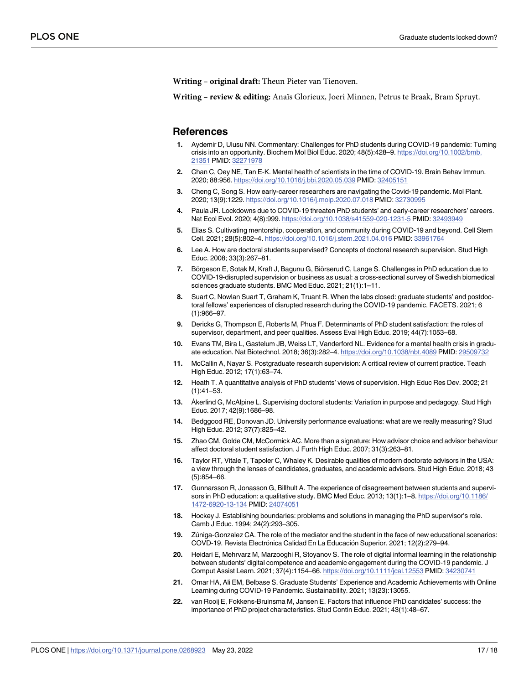<span id="page-16-0"></span>**Writing – original draft:** Theun Pieter van Tienoven.

**Writing – review & editing:** Anaïs Glorieux, Joeri Minnen, Petrus te Braak, Bram Spruyt.

#### **References**

- **[1](#page-2-0).** Aydemir D, Ulusu NN. Commentary: Challenges for PhD students during COVID-19 pandemic: Turning crisis into an opportunity. Biochem Mol Biol Educ. 2020; 48(5):428–9. [https://doi.org/10.1002/bmb.](https://doi.org/10.1002/bmb.21351) [21351](https://doi.org/10.1002/bmb.21351) PMID: [32271978](http://www.ncbi.nlm.nih.gov/pubmed/32271978)
- **2.** Chan C, Oey NE, Tan E-K. Mental health of scientists in the time of COVID-19. Brain Behav Immun. 2020; 88:956. <https://doi.org/10.1016/j.bbi.2020.05.039> PMID: [32405151](http://www.ncbi.nlm.nih.gov/pubmed/32405151)
- **[3](#page-6-0).** Cheng C, Song S. How early-career researchers are navigating the Covid-19 pandemic. Mol Plant. 2020; 13(9):1229. <https://doi.org/10.1016/j.molp.2020.07.018> PMID: [32730995](http://www.ncbi.nlm.nih.gov/pubmed/32730995)
- **[4](#page-3-0).** Paula JR. Lockdowns due to COVID-19 threaten PhD students' and early-career researchers' careers. Nat Ecol Evol. 2020; 4(8):999. <https://doi.org/10.1038/s41559-020-1231-5> PMID: [32493949](http://www.ncbi.nlm.nih.gov/pubmed/32493949)
- **[5](#page-1-0).** Elias S. Cultivating mentorship, cooperation, and community during COVID-19 and beyond. Cell Stem Cell. 2021; 28(5):802–4. <https://doi.org/10.1016/j.stem.2021.04.016> PMID: [33961764](http://www.ncbi.nlm.nih.gov/pubmed/33961764)
- **[6](#page-1-0).** Lee A. How are doctoral students supervised? Concepts of doctoral research supervision. Stud High Educ. 2008; 33(3):267–81.
- **[7](#page-1-0).** Börgeson E, Sotak M, Kraft J, Bagunu G, Biörserud C, Lange S. Challenges in PhD education due to COVID-19-disrupted supervision or business as usual: a cross-sectional survey of Swedish biomedical sciences graduate students. BMC Med Educ. 2021; 21(1):1–11.
- **[8](#page-6-0).** Suart C, Nowlan Suart T, Graham K, Truant R. When the labs closed: graduate students' and postdoctoral fellows' experiences of disrupted research during the COVID-19 pandemic. FACETS. 2021; 6 (1):966–97.
- **[9](#page-1-0).** Dericks G, Thompson E, Roberts M, Phua F. Determinants of PhD student satisfaction: the roles of supervisor, department, and peer qualities. Assess Eval High Educ. 2019; 44(7):1053–68.
- **[10](#page-1-0).** Evans TM, Bira L, Gastelum JB, Weiss LT, Vanderford NL. Evidence for a mental health crisis in graduate education. Nat Biotechnol. 2018; 36(3):282–4. <https://doi.org/10.1038/nbt.4089> PMID: [29509732](http://www.ncbi.nlm.nih.gov/pubmed/29509732)
- **[11](#page-2-0).** McCallin A, Nayar S. Postgraduate research supervision: A critical review of current practice. Teach High Educ. 2012; 17(1):63–74.
- **[12](#page-2-0).** Heath T. A quantitative analysis of PhD students' views of supervision. High Educ Res Dev. 2002; 21 (1):41–53.
- **[13](#page-2-0).** Åkerlind G, McAlpine L. Supervising doctoral students: Variation in purpose and pedagogy. Stud High Educ. 2017; 42(9):1686–98.
- **[14](#page-2-0).** Bedggood RE, Donovan JD. University performance evaluations: what are we really measuring? Stud High Educ. 2012; 37(7):825–42.
- **[15](#page-5-0).** Zhao CM, Golde CM, McCormick AC. More than a signature: How advisor choice and advisor behaviour affect doctoral student satisfaction. J Furth High Educ. 2007; 31(3):263–81.
- **[16](#page-2-0).** Taylor RT, Vitale T, Tapoler C, Whaley K. Desirable qualities of modern doctorate advisors in the USA: a view through the lenses of candidates, graduates, and academic advisors. Stud High Educ. 2018; 43 (5):854–66.
- **[17](#page-2-0).** Gunnarsson R, Jonasson G, Billhult A. The experience of disagreement between students and supervisors in PhD education: a qualitative study. BMC Med Educ. 2013; 13(1):1–8. [https://doi.org/10.1186/](https://doi.org/10.1186/1472-6920-13-134) [1472-6920-13-134](https://doi.org/10.1186/1472-6920-13-134) PMID: [24074051](http://www.ncbi.nlm.nih.gov/pubmed/24074051)
- **[18](#page-2-0).** Hockey J. Establishing boundaries: problems and solutions in managing the PhD supervisor's role. Camb J Educ. 1994; 24(2):293–305.
- **[19](#page-2-0).** Zu´niga-Gonzalez CA. The role of the mediator and the student in the face of new educational scenarios: COVD-19. Revista Electrónica Calidad En La Educación Superior. 2021; 12(2):279–94.
- **[20](#page-2-0).** Heidari E, Mehrvarz M, Marzooghi R, Stoyanov S. The role of digital informal learning in the relationship between students' digital competence and academic engagement during the COVID-19 pandemic. J Comput Assist Learn. 2021; 37(4):1154–66. <https://doi.org/10.1111/jcal.12553> PMID: [34230741](http://www.ncbi.nlm.nih.gov/pubmed/34230741)
- **[21](#page-2-0).** Omar HA, Ali EM, Belbase S. Graduate Students' Experience and Academic Achievements with Online Learning during COVID-19 Pandemic. Sustainability. 2021; 13(23):13055.
- **[22](#page-2-0).** van Rooij E, Fokkens-Bruinsma M, Jansen E. Factors that influence PhD candidates' success: the importance of PhD project characteristics. Stud Contin Educ. 2021; 43(1):48–67.